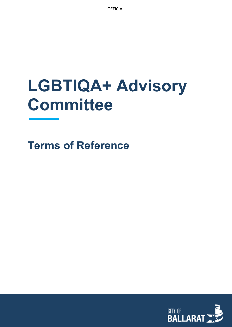**OFFICIAL** 

# **LGBTIQA+ Advisory Committee**

**Terms of Reference**

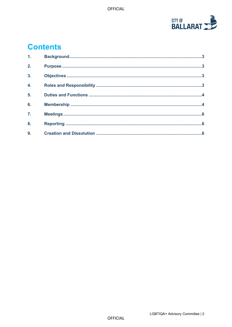

# **Contents**

| 1.               |  |
|------------------|--|
| 2.               |  |
| $\overline{3}$ . |  |
| 4.               |  |
| 5 <sub>1</sub>   |  |
| 6.               |  |
| $\overline{7}$ . |  |
| 8.               |  |
| 9.               |  |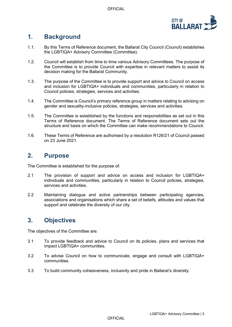

#### <span id="page-2-0"></span>**1. Background**

- 1.1. By this Terms of Reference document, the Ballarat City Council (Council) establishes the LGBTIQA+ Advisory Committee (Committee).
- 1.2. Council will establish from time to time various Advisory Committees. The purpose of the Committee is to provide Council with expertise in relevant matters to assist its decision making for the Ballarat Community.
- 1.3. The purpose of the Committee is to provide support and advice to Council on access and inclusion for LGBTIQA+ individuals and communities, particularly in relation to Council policies, strategies, services and activities.
- 1.4. The Committee is Council's primary reference group in matters relating to advising on gender and sexuality-inclusive policies, strategies, services and activities.
- 1.5. The Committee is established by the functions and responsibilities as set out in this Terms of Reference document. The Terms of Reference document sets out the structure and basis on which the Committee can make recommendations to Council.
- 1.6. These Terms of Reference are authorised by a resolution R126/21 of Council passed on 23 June 2021.

#### <span id="page-2-1"></span>**2. Purpose**

The Committee is established for the purpose of:

- 2.1 The provision of support and advice on access and inclusion for LGBTIQA+ individuals and communities, particularly in relation to Council policies, strategies, services and activities.
- 2.2 Maintaining dialogue and active partnerships between participating agencies, associations and organisations which share a set of beliefs, attitudes and values that support and celebrate the diversity of our city.

# <span id="page-2-2"></span>**3. Objectives**

The objectives of the Committee are:

- <span id="page-2-3"></span>3.1 To provide feedback and advice to Council on its policies, plans and services that impact LGBTIQA+ communities.
- 3.2 To advise Council on how to communicate, engage and consult with LGBTIQA+ communities.
- 3.3 To build community cohesiveness, inclusivity and pride in Ballarat's diversity.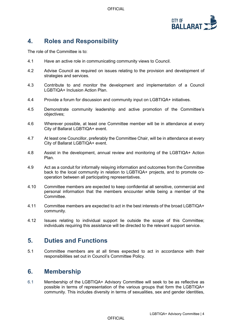OFFICIAL



# **4. Roles and Responsibility**

The role of the Committee is to:

- 4.1 Have an active role in communicating community views to Council.
- 4.2 Advise Council as required on issues relating to the provision and development of strategies and services.
- 4.3 Contribute to and monitor the development and implementation of a Council LGBTIQA+ Inclusion Action Plan.
- 4.4 Provide a forum for discussion and community input on LGBTIQA+ initiatives.
- 4.5 Demonstrate community leadership and active promotion of the Committee's objectives;
- 4.6 Wherever possible, at least one Committee member will be in attendance at every City of Ballarat LGBTIQA+ event.
- 4.7 At least one Councillor, preferably the Committee Chair, will be in attendance at every City of Ballarat LGBTIQA+ event.
- 4.8 Assist in the development, annual review and monitoring of the LGBTIQA+ Action Plan.
- 4.9 Act as a conduit for informally relaying information and outcomes from the Committee back to the local community in relation to LGBTIQA+ projects, and to promote cooperation between all participating representatives.
- 4.10 Committee members are expected to keep confidential all sensitive, commercial and personal information that the members encounter while being a member of the **Committee.**
- 4.11 Committee members are expected to act in the best interests of the broad LGBTIQA+ community.
- 4.12 Issues relating to individual support lie outside the scope of this Committee; individuals requiring this assistance will be directed to the relevant support service.

#### <span id="page-3-0"></span>**5. Duties and Functions**

5.1 Committee members are at all times expected to act in accordance with their responsibilities set out in Council's Committee Policy.

#### <span id="page-3-1"></span>**6. Membership**

6.1 Membership of the LGBTIQA+ Advisory Committee will seek to be as reflective as possible in terms of representation of the various groups that form the LGBTIQA+ community. This includes diversity in terms of sexualities, sex and gender identities,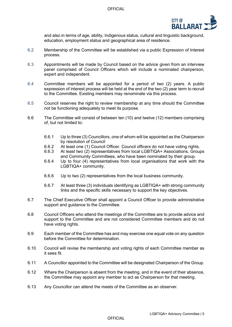

and also in terms of age, ability, Indigenous status, cultural and linguistic background, education, employment status and geographical area of residence.

- 6.2 Membership of the Committee will be established via a public Expression of Interest process.
- 6.3 Appointments will be made by Council based on the advice given from an interview panel comprised of Council Officers which will include a nominated chairperson, expert and independent.
- 6.4 Committee members will be appointed for a period of two (2) years. A public expression of interest process will be held at the end of the two  $(2)$  year term to recruit to the Committee. Existing members may renominate via this process.
- 6.5 Council reserves the right to review membership at any time should the Committee not be functioning adequately to meet its purpose.
- 6.6 The Committee will consist of between ten (10) and twelve (12) members comprising of, but not limited to:
	- 6.6.1 Up to three (3) Councillors, one of whom will be appointed as the Chairperson by resolution of Council
	- 6.6.2 At least one (1) Council Officer. Council officers do not have voting rights.<br>6.6.3 At least two (2) representatives from local LGBTIOA+ Associations. Group
	- 6.6.3 At least two (2) representatives from local LGBTIQA+ Associations, Groups and Community Committees, who have been nominated by their group.
	- 6.6.4 Up to four (4) representatives from local organisations that work with the LGBTIQA+ community.
	- 6.6.6 Up to two (2) representatives from the local business community.
	- 6.6.7 At least three (3) individuals identifying as LGBTIQA+ with strong community links and the specific skills necessary to support the key objectives.
- 6.7 The Chief Executive Officer shall appoint a Council Officer to provide administrative support and guidance to the Committee.
- 6.8 Council Officers who attend the meetings of the Committee are to provide advice and support to the Committee and are not considered Committee members and do not have voting rights.
- 6.9 Each member of the Committee has and may exercise one equal vote on any question before the Committee for determination.
- 6.10 Council will revise the membership and voting rights of each Committee member as it sees fit.
- 6.11 A Councillor appointed to the Committee will be designated Chairperson of the Group.
- 6.12 Where the Chairperson is absent from the meeting, and in the event of their absence, the Committee may appoint any member to act as Chairperson for that meeting.
- 6.13 Any Councillor can attend the meets of the Committee as an observer.